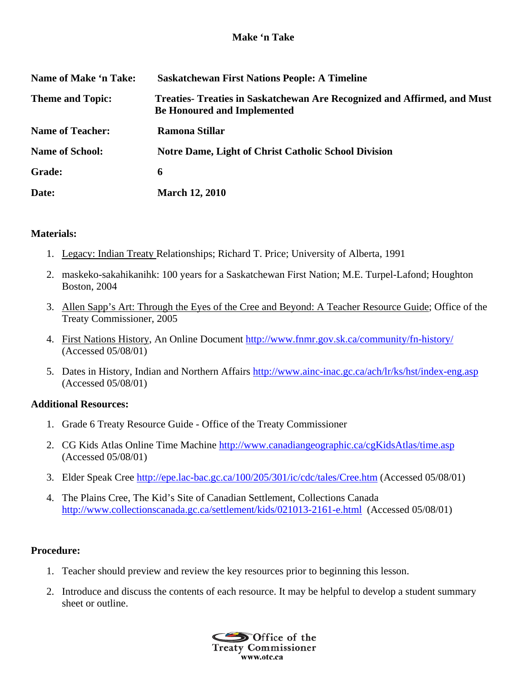## **Make 'n Take**

| Name of Make 'n Take:   | <b>Saskatchewan First Nations People: A Timeline</b>                                                          |
|-------------------------|---------------------------------------------------------------------------------------------------------------|
| <b>Theme and Topic:</b> | Treaties-Treaties in Saskatchewan Are Recognized and Affirmed, and Must<br><b>Be Honoured and Implemented</b> |
| <b>Name of Teacher:</b> | Ramona Stillar                                                                                                |
| <b>Name of School:</b>  | <b>Notre Dame, Light of Christ Catholic School Division</b>                                                   |
| <b>Grade:</b>           | 6                                                                                                             |
| Date:                   | <b>March 12, 2010</b>                                                                                         |

#### **Materials:**

- 1. Legacy: Indian Treaty Relationships; Richard T. Price; University of Alberta, 1991
- 2. maskeko-sakahikanihk: 100 years for a Saskatchewan First Nation; M.E. Turpel-Lafond; Houghton Boston, 2004
- 3. Allen Sapp's Art: Through the Eyes of the Cree and Beyond: A Teacher Resource Guide; Office of the Treaty Commissioner, 2005
- 4. First Nations History, An Online Document http://www.fnmr.gov.sk.ca/community/fn-history/ (Accessed 05/08/01)
- 5. Dates in History, Indian and Northern Affairs http://www.ainc-inac.gc.ca/ach/lr/ks/hst/index-eng.asp (Accessed 05/08/01)

## **Additional Resources:**

- 1. Grade 6 Treaty Resource Guide Office of the Treaty Commissioner
- 2. CG Kids Atlas Online Time Machine http://www.canadiangeographic.ca/cgKidsAtlas/time.asp (Accessed 05/08/01)
- 3. Elder Speak Cree http://epe.lac-bac.gc.ca/100/205/301/ic/cdc/tales/Cree.htm (Accessed 05/08/01)
- 4. The Plains Cree, The Kid's Site of Canadian Settlement, Collections Canada http://www.collectionscanada.gc.ca/settlement/kids/021013-2161-e.html (Accessed 05/08/01)

# **Procedure:**

- 1. Teacher should preview and review the key resources prior to beginning this lesson.
- 2. Introduce and discuss the contents of each resource. It may be helpful to develop a student summary sheet or outline.